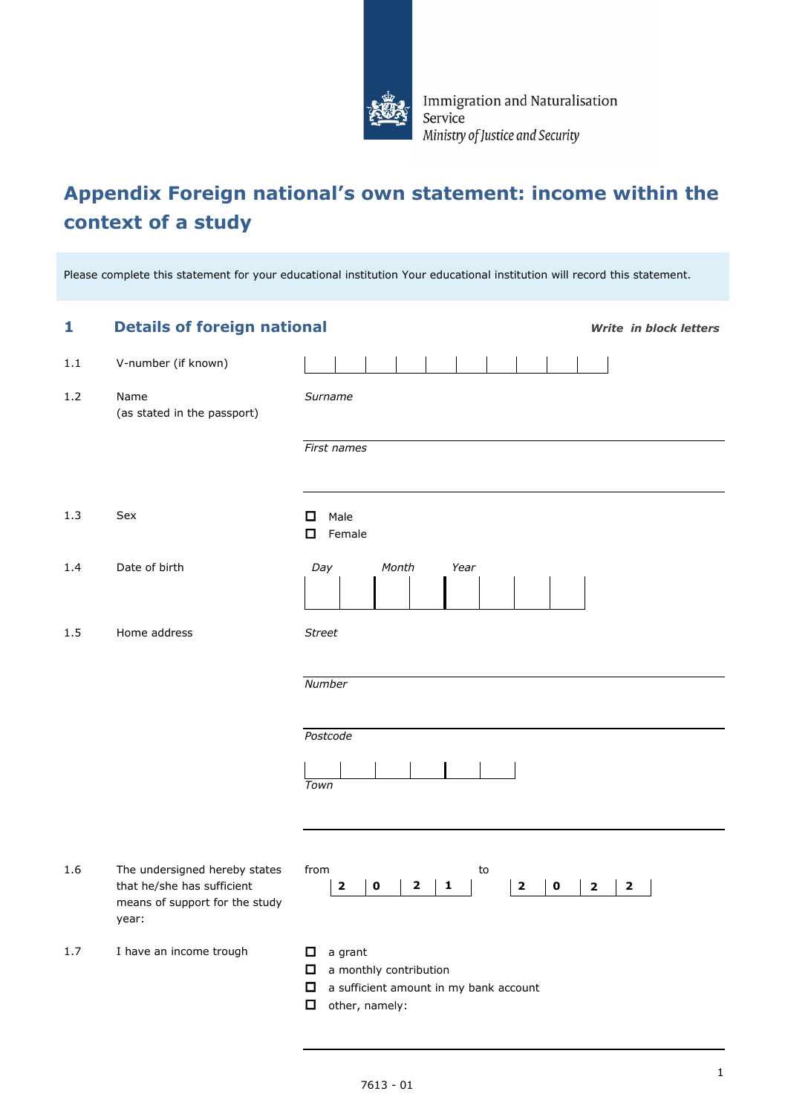

Immigration and Naturalisation Service Ministry of Justice and Security

## **Appendix Foreign national's own statement: income within the context of a study**

Please complete this statement for your educational institution Your educational institution will record this statement.

| 1       | <b>Details of foreign national</b>                                                                     |                                                                                                                        | <b>Write in block letters</b>                      |
|---------|--------------------------------------------------------------------------------------------------------|------------------------------------------------------------------------------------------------------------------------|----------------------------------------------------|
| $1.1\,$ | V-number (if known)                                                                                    |                                                                                                                        |                                                    |
| 1.2     | Name<br>(as stated in the passport)                                                                    | Surname                                                                                                                |                                                    |
|         |                                                                                                        | First names                                                                                                            |                                                    |
| 1.3     | Sex                                                                                                    | Male<br>□<br>Female<br>□                                                                                               |                                                    |
| 1.4     | Date of birth                                                                                          | Day<br>Month<br>Year                                                                                                   |                                                    |
| 1.5     | Home address                                                                                           | <b>Street</b>                                                                                                          |                                                    |
|         |                                                                                                        | Number                                                                                                                 |                                                    |
|         |                                                                                                        | Postcode<br>Town                                                                                                       |                                                    |
| 1.6     | The undersigned hereby states<br>that he/she has sufficient<br>means of support for the study<br>year: | from<br>to<br>$\mathbf 0$<br>$\mathbf{2}$<br>$\mathbf{2}$<br>1<br>$\mathbf{2}$<br>$\mathbf 0$                          | $\overline{\mathbf{2}}$<br>$\overline{\mathbf{2}}$ |
| 1.7     | I have an income trough                                                                                | a grant<br>□<br>a monthly contribution<br>□<br>$\Box$<br>a sufficient amount in my bank account<br>□<br>other, namely: |                                                    |